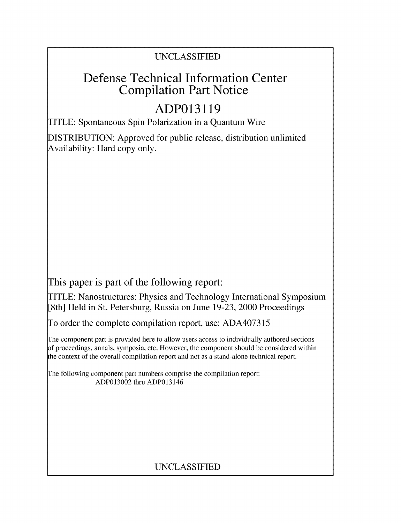### UNCLASSIFIED

## Defense Technical Information Center Compilation Part Notice

# **ADP013119**

TITLE: Spontaneous Spin Polarization in a Quantum Wire

DISTRIBUTION: Approved for public release, distribution unlimited Availability: Hard copy only.

This paper is part of the following report:

TITLE: Nanostructures: Physics and Technology International Symposium [8th] Held in St. Petersburg, Russia on June 19-23, 2000 Proceedings

To order the complete compilation report, use: ADA407315

The component part is provided here to allow users access to individually authored sections f proceedings, annals, symposia, etc. However, the component should be considered within the context of the overall compilation report and not as a stand-alone technical report.

The following component part numbers comprise the compilation report: ADP013002 thru ADP013146

### UNCLASSIFIED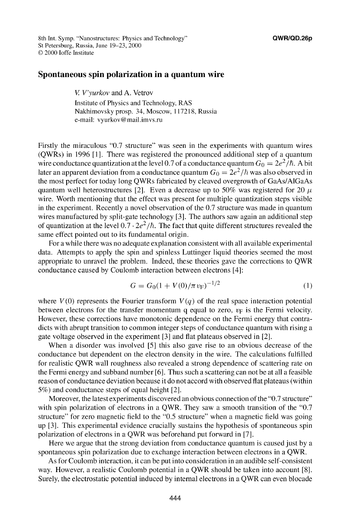8th Int. Symp. "Nanostructures: Physics and Technology" **QWR/QD.26p** St Petersburg, Russia, June 19-23, 2000 © 2000 loffe Institute

### Spontaneous spin polarization in a quantum wire

*V V'yurkov* and A. Vetrov Institute of Physics and Technology, RAS Nakhimovsky prosp. 34, Moscow, 117218, Russia e-mail: vyurkov@mail.imvs.ru

Firstly the miraculous "0.7 structure" was seen in the experiments with quantum wires (QWRs) in 1996 **[11.** There was registered the pronounced additional step of a quantum wire conductance quantization at the level 0.7 of a conductance quantum  $G_0 = 2e^2/\hbar$ . A bit later an apparent deviation from a conductance quantum  $G_0 = 2e^2/\hbar$  was also observed in the most perfect for today long QWRs fabricated by cleaved overgrowth of GaAs/A1GaAs quantum well heterostructures [2]. Even a decrease up to 50% was registered for 20  $\mu$ wire. Worth mentioning that the effect was present for multiple quantization steps visible in the experiment. Recently a novel observation of the 0.7 structure was made in quantum wires manufactured by split-gate technology [3]. The authors saw again an additional step of quantization at the level  $0.7 \cdot 2e^2/\hbar$ . The fact that quite different structures revealed the same effect pointed out to its fundamental origin.

For a while there was no adequate explanation consistent with all available experimental data. Attempts to apply the spin and spinless Luttinger liquid theories seemed the most appropriate to unravel the problem. Indeed, these theories gave the corrections to QWR conductance caused by Coulomb interaction between electrons [41:

$$
G = G_0 (1 + V(0)/\pi v_\text{F})^{-1/2} \tag{1}
$$

where  $V(0)$  represents the Fourier transform  $V(q)$  of the real space interaction potential between electrons for the transfer momentum q equal to zero,  $v_F$  is the Fermi velocity. However, these corrections have monotonic dependence on the Fermi energy that contradicts with abrupt transition to common integer steps of conductance quantum with rising a gate voltage observed in the experiment **[31** and flat plateaus observed in [21.

When a disorder was involved **[51** this also gave rise to an obvious decrease of the conductance but dependent on the electron density in the wire. The calculations fulfilled for realistic QWR wall roughness also revealed a strong dependence of scattering rate on the Fermi energy and subband number [6]. Thus such a scattering can not be at all a feasible reason of conductance deviation because it do not accord with observed flat plateaus (within 5%) and conductance steps of equal height [21.

Moreover, the latest experiments discovered an obvious connection of the "0.7 structure" with spin polarization of electrons in a QWR. They saw a smooth transition of the "0.7 structure" for zero magnetic field to the "0.5 structure" when a magnetic field was going up [31. This experimental evidence crucially sustains the hypothesis of spontaneous spin polarization of electrons in a QWR was beforehand put forward in [7 1.

Here we argue that the strong deviation from conductance quantum is caused just by a spontaneous spin polarization due to exchange interaction between electrons in a QWR.

As for Coulomb interaction, it can be put into consideration in an audible self-consistent way. However, a realistic Coulomb potential in a QWR should be taken into account [8]. Surely, the electrostatic potential induced by internal electrons in a QWR can even blocade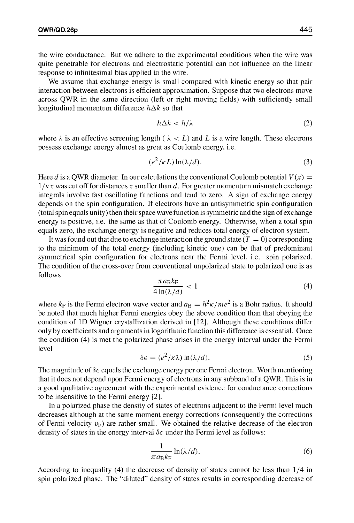the wire conductance. But we adhere to the experimental conditions when the wire was quite penetrable for electrons and electrostatic potential can not influence on the linear response to infinitesimal bias applied to the wire.

We assume that exchange energy is small compared with kinetic energy so that pair interaction between electrons is efficient approximation. Suppose that two electrons move across QWR in the same direction (left or right moving fields) with sufficiently small longitudinal momentum difference  $\hbar \Delta k$  so that

$$
\hbar \Delta k < \hbar / \lambda \tag{2}
$$

where  $\lambda$  is an effective screening length ( $\lambda < L$ ) and L is a wire length. These electrons possess exchange energy almost as great as Coulomb energy, i.e.

$$
(e^2/\kappa L)\ln(\lambda/d). \tag{3}
$$

Here d is a QWR diameter. In our calculations the conventional Coulomb potential  $V(x) =$  $1/\kappa x$  was cut off for distances x smaller than d. For greater momentum mismatch exchange integrals involve fast oscillating functions and tend to zero. A sign of exchange energy depends on the spin configuration. If electrons have an antisymmetric spin configuration (total spin equals unity) then their space wave function is symmetric and the sign of exchange energy is positive, i.e. the same as that of Coulomb energy. Otherwise, when a total spin equals zero, the exchange energy is negative and reduces total energy of electron system.

It was found out that due to exchange interaction the ground state  $(T = 0)$  corresponding to the minimum of the total energy (including kinetic one) can be that of predominant symmetrical spin configuration for electrons near the Fermi level, i.e. spin polarized. The condition of the cross-over from conventional unpolarized state to polarized one is as follows

$$
\frac{\pi a_{\rm B} k_{\rm F}}{4 \ln(\lambda/d)} < 1\tag{4}
$$

where  $k_F$  is the Fermi electron wave vector and  $a_B = \hbar^2 \kappa /me^2$  is a Bohr radius. It should be noted that much higher Fermi energies obey the above condition than that obeying the condition of **ID** Wigner crystallization derived in [121. Although these conditions differ only by coefficients and arguments in logarithmic function this difference is essential. Once the condition (4) is met the polarized phase arises in the energy interval under the Fermi level

$$
\delta \epsilon = (e^2/\kappa \lambda) \ln(\lambda/d). \tag{5}
$$

The magnitude of  $\delta \epsilon$  equals the exchange energy per one Fermi electron. Worth mentioning that it does not depend upon Fermi energy of electrons in any subband of a QWR. This is in a good qualitative agreement with the experimental evidence for conductance corrections to be insensitive to the Fermi energy [21.

In a polarized phase the density of states of electrons adjacent to the Fermi level much decreases although at the same moment energy corrections (consequently the corrections of Fermi velocity  $v_F$ ) are rather small. We obtained the relative decrease of the electron density of states in the energy interval  $\delta \epsilon$  under the Fermi level as follows:

$$
\frac{1}{\pi a_{\rm B} k_{\rm F}} \ln(\lambda/d). \tag{6}
$$

According to inequality (4) the decrease of density of states cannot be less than 1/4 in spin polarized phase. The "diluted" density of states results in corresponding decrease of